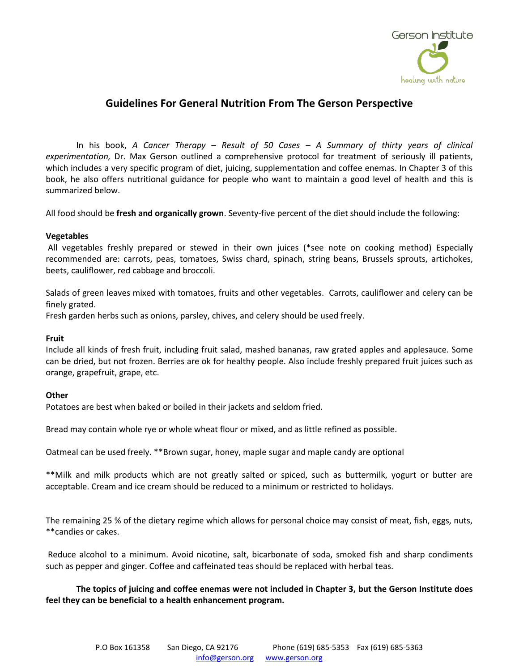

# **Guidelines For General Nutrition From The Gerson Perspective**

In his book, *A Cancer Therapy – Result of 50 Cases – A Summary of thirty years of clinical experimentation,* Dr. Max Gerson outlined a comprehensive protocol for treatment of seriously ill patients, which includes a very specific program of diet, juicing, supplementation and coffee enemas. In Chapter 3 of this book, he also offers nutritional guidance for people who want to maintain a good level of health and this is summarized below.

All food should be **fresh and organically grown**. Seventy-five percent of the diet should include the following:

## **Vegetables**

All vegetables freshly prepared or stewed in their own juices (\*see note on cooking method) Especially recommended are: carrots, peas, tomatoes, Swiss chard, spinach, string beans, Brussels sprouts, artichokes, beets, cauliflower, red cabbage and broccoli.

Salads of green leaves mixed with tomatoes, fruits and other vegetables. Carrots, cauliflower and celery can be finely grated.

Fresh garden herbs such as onions, parsley, chives, and celery should be used freely.

### **Fruit**

Include all kinds of fresh fruit, including fruit salad, mashed bananas, raw grated apples and applesauce. Some can be dried, but not frozen. Berries are ok for healthy people. Also include freshly prepared fruit juices such as orange, grapefruit, grape, etc.

### **Other**

Potatoes are best when baked or boiled in their jackets and seldom fried.

Bread may contain whole rye or whole wheat flour or mixed, and as little refined as possible.

Oatmeal can be used freely. \*\*Brown sugar, honey, maple sugar and maple candy are optional

\*\*Milk and milk products which are not greatly salted or spiced, such as buttermilk, yogurt or butter are acceptable. Cream and ice cream should be reduced to a minimum or restricted to holidays.

The remaining 25 % of the dietary regime which allows for personal choice may consist of meat, fish, eggs, nuts, \*\*candies or cakes.

Reduce alcohol to a minimum. Avoid nicotine, salt, bicarbonate of soda, smoked fish and sharp condiments such as pepper and ginger. Coffee and caffeinated teas should be replaced with herbal teas.

**The topics of juicing and coffee enemas were not included in Chapter 3, but the Gerson Institute does feel they can be beneficial to a health enhancement program.**